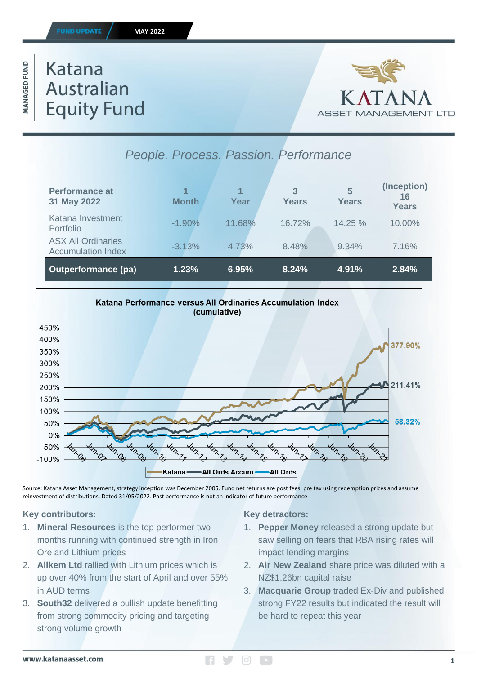### **ID UPDATE**

#### **MAY 2022**

**MANAGED FUND** 

# **Katana Australian Equity Fund**



| People. Process. Passion. Performance                  |              |        |            |            |                                   |
|--------------------------------------------------------|--------------|--------|------------|------------|-----------------------------------|
| <b>Performance at</b><br>31 May 2022                   | <b>Month</b> | Year   | 3<br>Years | 5<br>Years | (Inception)<br>16<br><b>Years</b> |
| Katana Investment<br>Portfolio                         | $-1.90\%$    | 11.68% | 16.72%     | 14.25%     | 10.00%                            |
| <b>ASX All Ordinaries</b><br><b>Accumulation Index</b> | $-3.13%$     | 4.73%  | 8.48%      | 9.34%      | 7.16%                             |
| <b>Outperformance (pa)</b>                             | 1.23%        | 6.95%  | 8.24%      | 4.91%      | 2.84%                             |



Source: Katana Asset Management, strategy inception was December 2005. Fund net returns are post fees, pre tax using redemption prices and assume reinvestment of distributions. Dated 31/05/2022. Past performance is not an indicator of future performance

# **Key contributors:**

- 1. **Mineral Resources** is the top performer two months running with continued strength in Iron Ore and Lithium prices
- 2. **Allkem Ltd** rallied with Lithium prices which is up over 40% from the start of April and over 55% in AUD terms
- 3. **South32** delivered a bullish update benefitting from strong commodity pricing and targeting strong volume growth

# **Key detractors:**

- 1. **Pepper Money** released a strong update but saw selling on fears that RBA rising rates will impact lending margins
- 2. **Air New Zealand** share price was diluted with a NZ\$1.26bn capital raise
- 3. **Macquarie Group** traded Ex-Div and published strong FY22 results but indicated the result will be hard to repeat this year